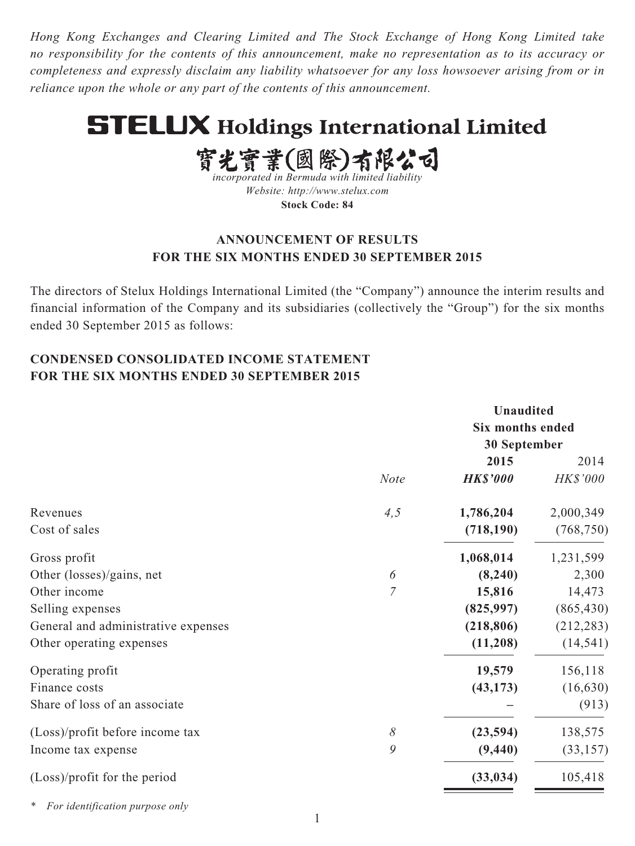*Hong Kong Exchanges and Clearing Limited and The Stock Exchange of Hong Kong Limited take no responsibility for the contents of this announcement, make no representation as to its accuracy or completeness and expressly disclaim any liability whatsoever for any loss howsoever arising from or in reliance upon the whole or any part of the contents of this announcement.*

# **STELUX Holdings International Limited**

寳光寳業(國際)有限公司 *incorporated in Bermuda with limited liability Website:<http://www.stelux.com>* **Stock Code: 84**

# **ANNOUNCEMENT OF RESULTS FOR THE SIX MONTHS ENDED 30 SEPTEMBER 2015**

The directors of Stelux Holdings International Limited (the "Company") announce the interim results and financial information of the Company and its subsidiaries (collectively the "Group") for the six months ended 30 September 2015 as follows:

# **CONDENSED CONSOLIDATED INCOME STATEMENT FOR THE SIX MONTHS ENDED 30 SEPTEMBER 2015**

|                                      | <b>Unaudited</b>        |            |  |
|--------------------------------------|-------------------------|------------|--|
|                                      | <b>Six months ended</b> |            |  |
|                                      | 30 September            |            |  |
|                                      | 2015                    | 2014       |  |
| <b>Note</b>                          | <b>HK\$'000</b>         | HK\$'000   |  |
| 4,5<br>Revenues                      | 1,786,204               | 2,000,349  |  |
| Cost of sales                        | (718, 190)              | (768, 750) |  |
| Gross profit                         | 1,068,014               | 1,231,599  |  |
| Other (losses)/gains, net<br>6       | (8,240)                 | 2,300      |  |
| Other income<br>7                    | 15,816                  | 14,473     |  |
| Selling expenses                     | (825, 997)              | (865, 430) |  |
| General and administrative expenses  | (218, 806)              | (212, 283) |  |
| Other operating expenses             | (11,208)                | (14, 541)  |  |
| Operating profit                     | 19,579                  | 156,118    |  |
| Finance costs                        | (43, 173)               | (16, 630)  |  |
| Share of loss of an associate        |                         | (913)      |  |
| 8<br>(Loss)/profit before income tax | (23,594)                | 138,575    |  |
| 9<br>Income tax expense              | (9, 440)                | (33, 157)  |  |
| (Loss)/profit for the period         | (33, 034)               | 105,418    |  |

*\* For identification purpose only*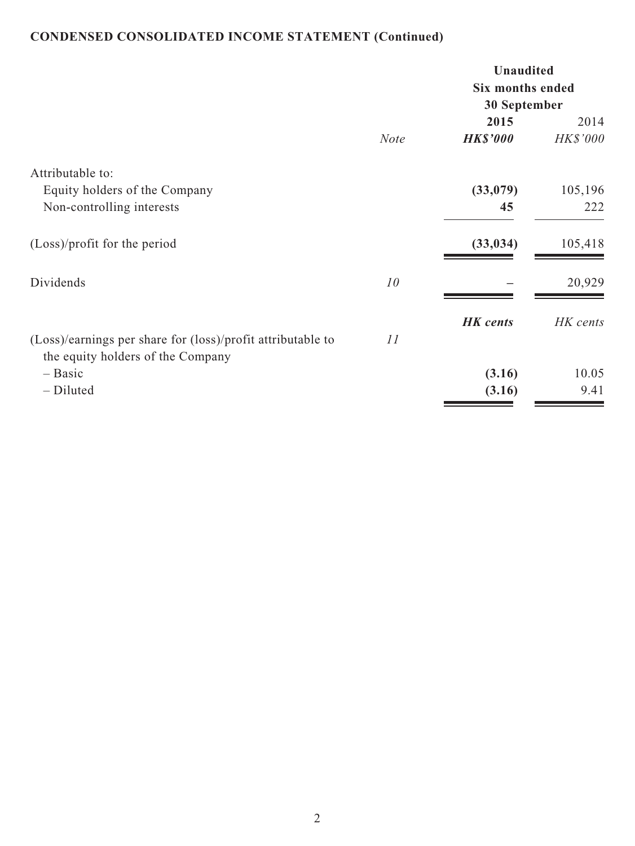# **CONDENSED CONSOLIDATED INCOME STATEMENT (Continued)**

|                                                                                                  |             | <b>Unaudited</b><br><b>Six months ended</b><br>30 September |                         |  |
|--------------------------------------------------------------------------------------------------|-------------|-------------------------------------------------------------|-------------------------|--|
|                                                                                                  | <b>Note</b> | 2015<br><b>HK\$'000</b>                                     | 2014<br><b>HK\$'000</b> |  |
| Attributable to:<br>Equity holders of the Company<br>Non-controlling interests                   |             | (33,079)<br>45                                              | 105,196<br>222          |  |
| (Loss)/profit for the period                                                                     |             | (33, 034)                                                   | 105,418                 |  |
| Dividends                                                                                        | 10          |                                                             | 20,929                  |  |
| (Loss)/earnings per share for (loss)/profit attributable to<br>the equity holders of the Company | 11          | <b>HK</b> cents                                             | HK cents                |  |
| $-$ Basic<br>- Diluted                                                                           |             | (3.16)<br>(3.16)                                            | 10.05<br>9.41           |  |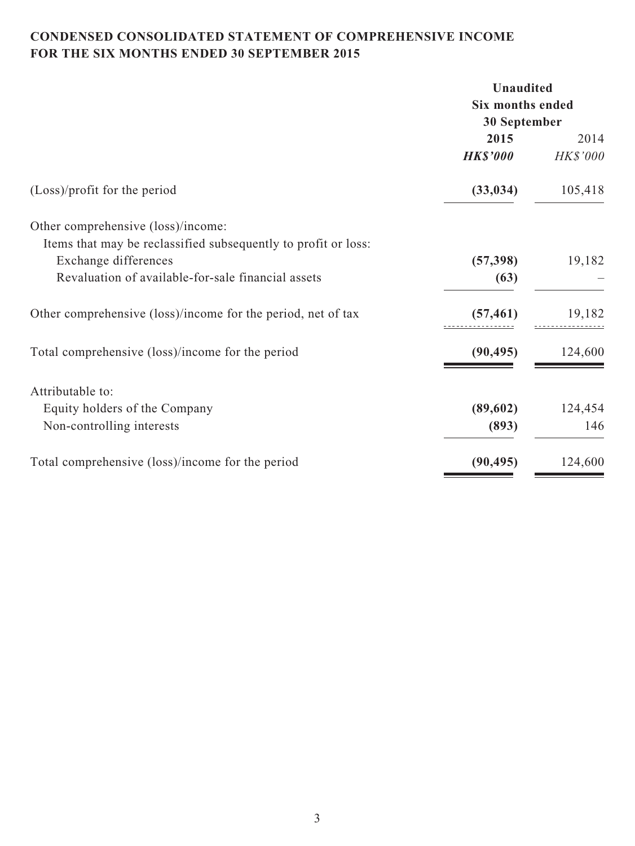# **CONDENSED CONSOLIDATED STATEMENT OF COMPREHENSIVE INCOME FOR THE SIX MONTHS ENDED 30 SEPTEMBER 2015**

|                                                                | <b>Unaudited</b>        |          |
|----------------------------------------------------------------|-------------------------|----------|
|                                                                | <b>Six months ended</b> |          |
|                                                                | 30 September            |          |
|                                                                | 2015                    | 2014     |
|                                                                | <b>HK\$'000</b>         | HK\$'000 |
| (Loss)/profit for the period                                   | (33, 034)               | 105,418  |
| Other comprehensive (loss)/income:                             |                         |          |
| Items that may be reclassified subsequently to profit or loss: |                         |          |
| Exchange differences                                           | (57, 398)               | 19,182   |
| Revaluation of available-for-sale financial assets             | (63)                    |          |
| Other comprehensive (loss)/income for the period, net of tax   | (57, 461)               | 19,182   |
| Total comprehensive (loss)/income for the period               | (90, 495)               | 124,600  |
| Attributable to:                                               |                         |          |
| Equity holders of the Company                                  | (89,602)                | 124,454  |
| Non-controlling interests                                      | (893)                   | 146      |
| Total comprehensive (loss)/income for the period               | (90, 495)               | 124,600  |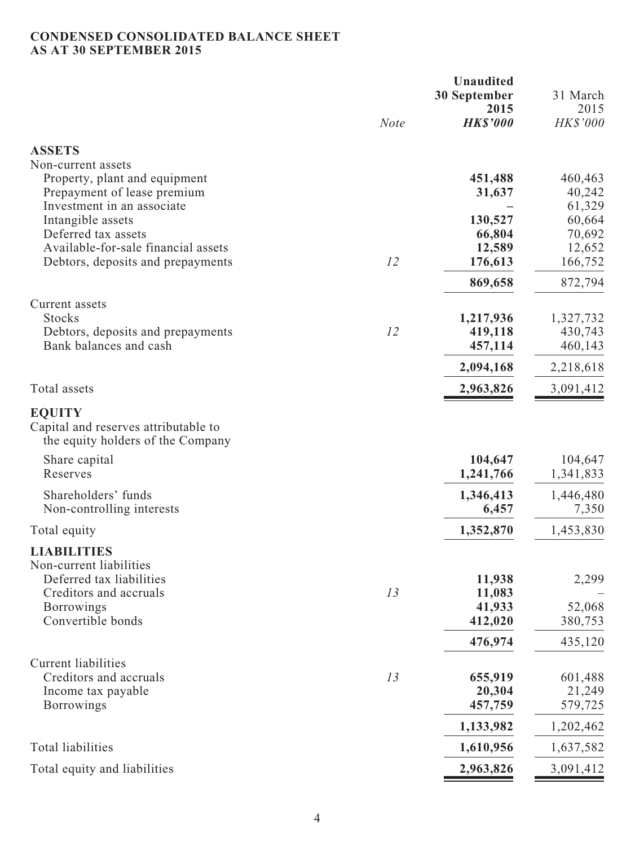#### **CONDENSED CONSOLIDATED BALANCE SHEET AS AT 30 SEPTEMBER 2015**

|                                                                                            |             | <b>Unaudited</b>    |                  |
|--------------------------------------------------------------------------------------------|-------------|---------------------|------------------|
|                                                                                            |             | <b>30 September</b> | 31 March         |
|                                                                                            |             | 2015                | 2015             |
|                                                                                            | <b>Note</b> | <b>HK\$'000</b>     | HK\$'000         |
| <b>ASSETS</b>                                                                              |             |                     |                  |
| Non-current assets                                                                         |             |                     |                  |
| Property, plant and equipment                                                              |             | 451,488             | 460,463          |
| Prepayment of lease premium<br>Investment in an associate                                  |             | 31,637              | 40,242           |
| Intangible assets                                                                          |             | 130,527             | 61,329<br>60,664 |
| Deferred tax assets                                                                        |             | 66,804              | 70,692           |
| Available-for-sale financial assets                                                        |             | 12,589              | 12,652           |
| Debtors, deposits and prepayments                                                          | 12          | 176,613             | 166,752          |
|                                                                                            |             | 869,658             | 872,794          |
| Current assets                                                                             |             |                     |                  |
| <b>Stocks</b>                                                                              |             | 1,217,936           | 1,327,732        |
| Debtors, deposits and prepayments<br>Bank balances and cash                                | 12          | 419,118             | 430,743          |
|                                                                                            |             | 457,114             | 460,143          |
|                                                                                            |             | 2,094,168           | 2,218,618        |
| Total assets                                                                               |             | 2,963,826           | 3,091,412        |
| <b>EQUITY</b><br>Capital and reserves attributable to<br>the equity holders of the Company |             |                     |                  |
| Share capital                                                                              |             | 104,647             | 104,647          |
| Reserves                                                                                   |             | 1,241,766           | 1,341,833        |
| Shareholders' funds                                                                        |             | 1,346,413           | 1,446,480        |
| Non-controlling interests                                                                  |             | 6,457               | 7,350            |
| Total equity                                                                               |             | 1,352,870           | 1,453,830        |
| <b>LIABILITIES</b>                                                                         |             |                     |                  |
| Non-current liabilities                                                                    |             |                     |                  |
| Deferred tax liabilities                                                                   | 13          | 11,938              | 2,299            |
| Creditors and accruals<br><b>Borrowings</b>                                                |             | 11,083<br>41,933    | 52,068           |
| Convertible bonds                                                                          |             | 412,020             | 380,753          |
|                                                                                            |             | 476,974             | 435,120          |
| <b>Current liabilities</b>                                                                 |             |                     |                  |
| Creditors and accruals                                                                     | 13          | 655,919             | 601,488          |
| Income tax payable                                                                         |             | 20,304              | 21,249           |
| <b>Borrowings</b>                                                                          |             | 457,759             | 579,725          |
|                                                                                            |             | 1,133,982           | 1,202,462        |
| Total liabilities                                                                          |             | 1,610,956           | 1,637,582        |
| Total equity and liabilities                                                               |             | 2,963,826           | 3,091,412        |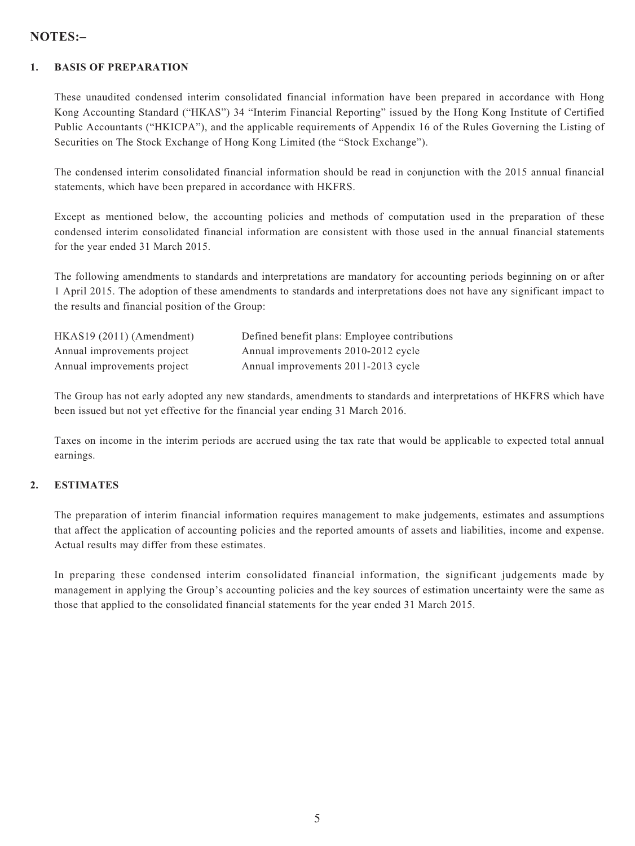## **NOTES:–**

#### **1. BASIS OF PREPARATION**

These unaudited condensed interim consolidated financial information have been prepared in accordance with Hong Kong Accounting Standard ("HKAS") 34 "Interim Financial Reporting" issued by the Hong Kong Institute of Certified Public Accountants ("HKICPA"), and the applicable requirements of Appendix 16 of the Rules Governing the Listing of Securities on The Stock Exchange of Hong Kong Limited (the "Stock Exchange").

The condensed interim consolidated financial information should be read in conjunction with the 2015 annual financial statements, which have been prepared in accordance with HKFRS.

Except as mentioned below, the accounting policies and methods of computation used in the preparation of these condensed interim consolidated financial information are consistent with those used in the annual financial statements for the year ended 31 March 2015.

The following amendments to standards and interpretations are mandatory for accounting periods beginning on or after 1 April 2015. The adoption of these amendments to standards and interpretations does not have any significant impact to the results and financial position of the Group:

| HKAS19(2011) (Amendment)    | Defined benefit plans: Employee contributions |
|-----------------------------|-----------------------------------------------|
| Annual improvements project | Annual improvements 2010-2012 cycle           |
| Annual improvements project | Annual improvements 2011-2013 cycle           |

The Group has not early adopted any new standards, amendments to standards and interpretations of HKFRS which have been issued but not yet effective for the financial year ending 31 March 2016.

Taxes on income in the interim periods are accrued using the tax rate that would be applicable to expected total annual earnings.

#### **2. ESTIMATES**

The preparation of interim financial information requires management to make judgements, estimates and assumptions that affect the application of accounting policies and the reported amounts of assets and liabilities, income and expense. Actual results may differ from these estimates.

In preparing these condensed interim consolidated financial information, the significant judgements made by management in applying the Group's accounting policies and the key sources of estimation uncertainty were the same as those that applied to the consolidated financial statements for the year ended 31 March 2015.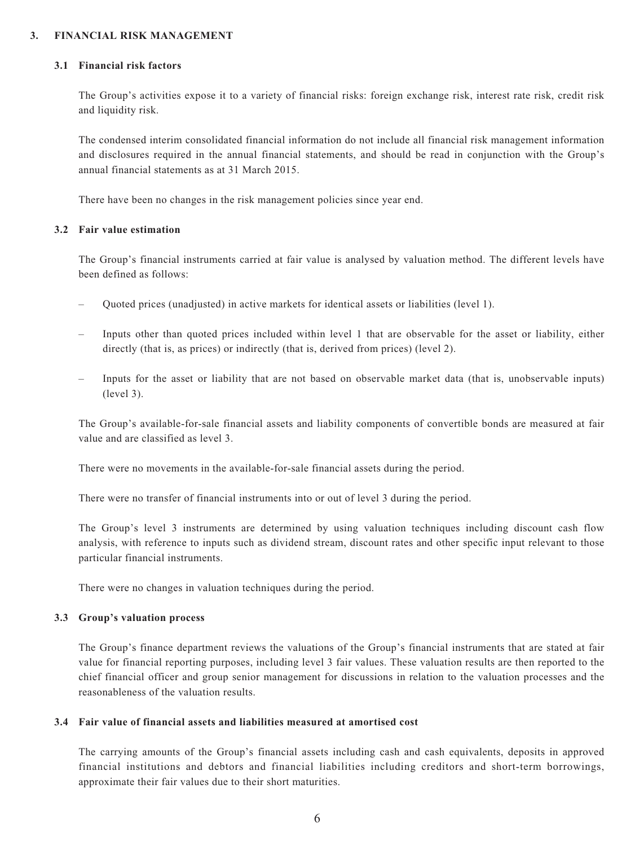#### **3. FINANCIAL RISK MANAGEMENT**

#### **3.1 Financial risk factors**

The Group's activities expose it to a variety of financial risks: foreign exchange risk, interest rate risk, credit risk and liquidity risk.

The condensed interim consolidated financial information do not include all financial risk management information and disclosures required in the annual financial statements, and should be read in conjunction with the Group's annual financial statements as at 31 March 2015.

There have been no changes in the risk management policies since year end.

#### **3.2 Fair value estimation**

The Group's financial instruments carried at fair value is analysed by valuation method. The different levels have been defined as follows:

- Quoted prices (unadjusted) in active markets for identical assets or liabilities (level 1).
- Inputs other than quoted prices included within level 1 that are observable for the asset or liability, either directly (that is, as prices) or indirectly (that is, derived from prices) (level 2).
- Inputs for the asset or liability that are not based on observable market data (that is, unobservable inputs) (level 3).

The Group's available-for-sale financial assets and liability components of convertible bonds are measured at fair value and are classified as level 3.

There were no movements in the available-for-sale financial assets during the period.

There were no transfer of financial instruments into or out of level 3 during the period.

The Group's level 3 instruments are determined by using valuation techniques including discount cash flow analysis, with reference to inputs such as dividend stream, discount rates and other specific input relevant to those particular financial instruments.

There were no changes in valuation techniques during the period.

#### **3.3 Group's valuation process**

The Group's finance department reviews the valuations of the Group's financial instruments that are stated at fair value for financial reporting purposes, including level 3 fair values. These valuation results are then reported to the chief financial officer and group senior management for discussions in relation to the valuation processes and the reasonableness of the valuation results.

#### **3.4 Fair value of financial assets and liabilities measured at amortised cost**

The carrying amounts of the Group's financial assets including cash and cash equivalents, deposits in approved financial institutions and debtors and financial liabilities including creditors and short-term borrowings, approximate their fair values due to their short maturities.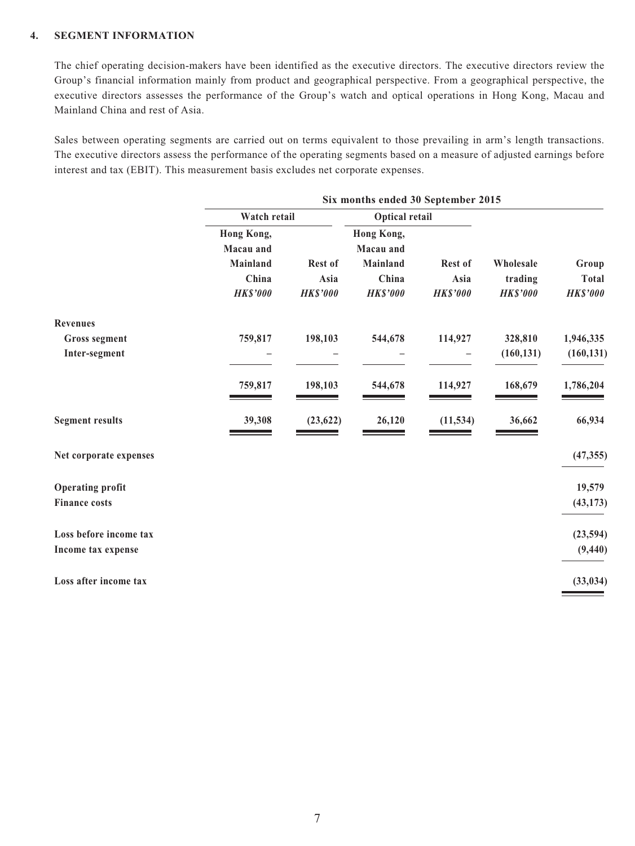#### **4. SEGMENT INFORMATION**

The chief operating decision-makers have been identified as the executive directors. The executive directors review the Group's financial information mainly from product and geographical perspective. From a geographical perspective, the executive directors assesses the performance of the Group's watch and optical operations in Hong Kong, Macau and Mainland China and rest of Asia.

Sales between operating segments are carried out on terms equivalent to those prevailing in arm's length transactions. The executive directors assess the performance of the operating segments based on a measure of adjusted earnings before interest and tax (EBIT). This measurement basis excludes net corporate expenses.

|                         | Six months ended 30 September 2015 |                 |                 |                 |                 |                 |
|-------------------------|------------------------------------|-----------------|-----------------|-----------------|-----------------|-----------------|
|                         | Watch retail                       |                 | Optical retail  |                 |                 |                 |
|                         | Hong Kong,                         |                 | Hong Kong,      |                 |                 |                 |
|                         | Macau and                          |                 | Macau and       |                 |                 |                 |
|                         | Mainland                           | Rest of         | Mainland        | Rest of         | Wholesale       | Group           |
|                         | China                              | Asia            | China           | Asia            | trading         | <b>Total</b>    |
|                         | <b>HK\$'000</b>                    | <b>HK\$'000</b> | <b>HK\$'000</b> | <b>HK\$'000</b> | <b>HK\$'000</b> | <b>HK\$'000</b> |
| <b>Revenues</b>         |                                    |                 |                 |                 |                 |                 |
| <b>Gross segment</b>    | 759,817                            | 198,103         | 544,678         | 114,927         | 328,810         | 1,946,335       |
| Inter-segment           |                                    |                 |                 |                 | (160, 131)      | (160, 131)      |
|                         | 759,817                            | 198,103         | 544,678         | 114,927         | 168,679         | 1,786,204       |
| <b>Segment results</b>  | 39,308                             | (23, 622)       | 26,120          | (11, 534)       | 36,662          | 66,934          |
| Net corporate expenses  |                                    |                 |                 |                 |                 | (47, 355)       |
| <b>Operating profit</b> |                                    |                 |                 |                 |                 | 19,579          |
| <b>Finance costs</b>    |                                    |                 |                 |                 |                 | (43, 173)       |
| Loss before income tax  |                                    |                 |                 |                 |                 | (23, 594)       |
| Income tax expense      |                                    |                 |                 |                 |                 | (9, 440)        |
| Loss after income tax   |                                    |                 |                 |                 |                 | (33, 034)       |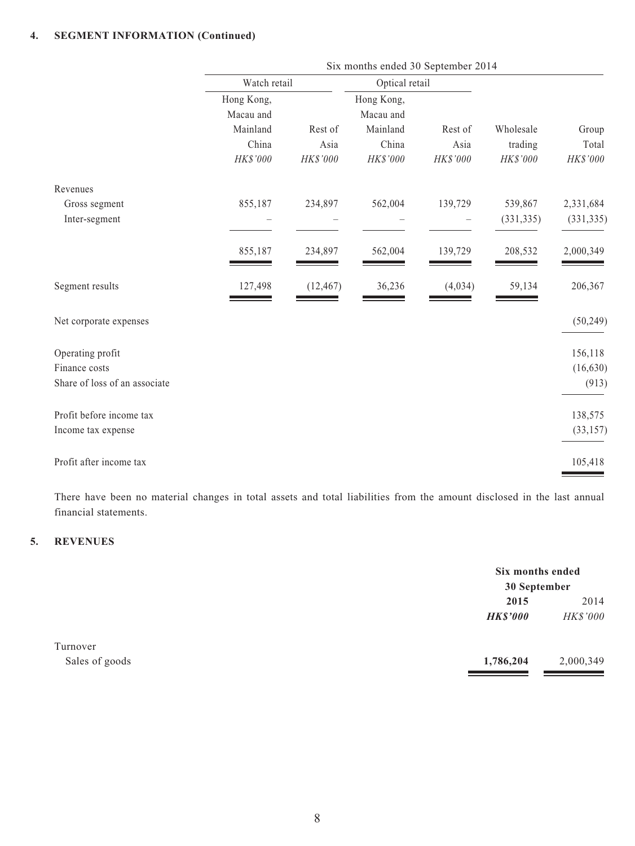## **4. SEGMENT INFORMATION (Continued)**

|                               | Six months ended 30 September 2014 |           |                |          |            |            |
|-------------------------------|------------------------------------|-----------|----------------|----------|------------|------------|
|                               | Watch retail                       |           | Optical retail |          |            |            |
|                               | Hong Kong,                         |           | Hong Kong,     |          |            |            |
|                               | Macau and                          |           | Macau and      |          |            |            |
|                               | Mainland                           | Rest of   | Mainland       | Rest of  | Wholesale  | Group      |
|                               | China                              | Asia      | China          | Asia     | trading    | Total      |
|                               | HK\$'000                           | HK\$'000  | HK\$'000       | HK\$'000 | HK\$'000   | HK\$'000   |
| Revenues                      |                                    |           |                |          |            |            |
| Gross segment                 | 855,187                            | 234,897   | 562,004        | 139,729  | 539,867    | 2,331,684  |
| Inter-segment                 |                                    |           |                |          | (331, 335) | (331, 335) |
|                               | 855,187                            | 234,897   | 562,004        | 139,729  | 208,532    | 2,000,349  |
| Segment results               | 127,498                            | (12, 467) | 36,236         | (4,034)  | 59,134     | 206,367    |
| Net corporate expenses        |                                    |           |                |          |            | (50, 249)  |
| Operating profit              |                                    |           |                |          |            | 156,118    |
| Finance costs                 |                                    |           |                |          |            | (16, 630)  |
| Share of loss of an associate |                                    |           |                |          |            | (913)      |
| Profit before income tax      |                                    |           |                |          |            | 138,575    |
| Income tax expense            |                                    |           |                |          |            | (33, 157)  |
| Profit after income tax       |                                    |           |                |          |            | 105,418    |

There have been no material changes in total assets and total liabilities from the amount disclosed in the last annual financial statements.

#### **5. REVENUES**

|                |                 | Six months ended<br>30 September |  |
|----------------|-----------------|----------------------------------|--|
|                | 2015            | 2014                             |  |
|                | <b>HK\$'000</b> | HK\$'000                         |  |
| Turnover       |                 |                                  |  |
| Sales of goods | 1,786,204       | 2,000,349                        |  |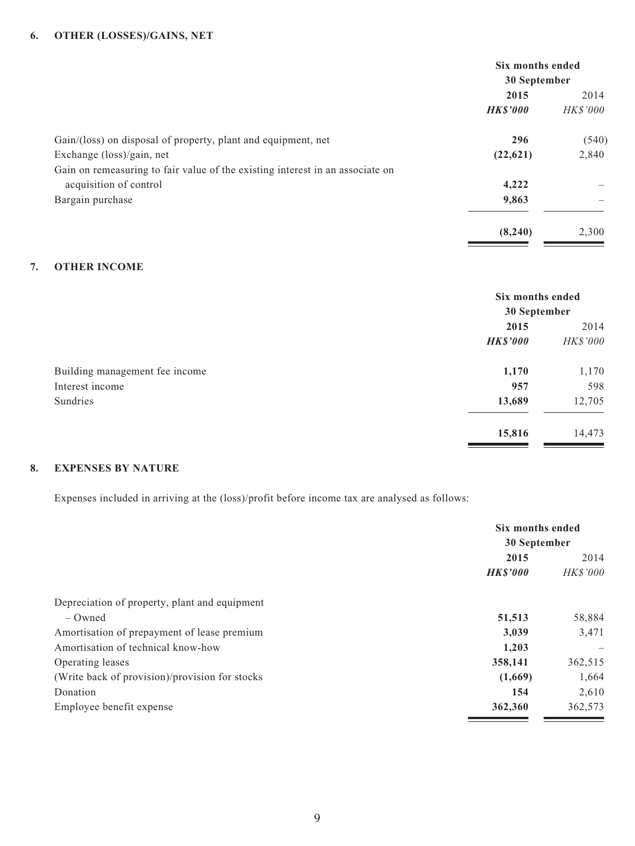#### **6. OTHER (LOSSES)/GAINS, NET**

|                                                                               | Six months ended |                 |
|-------------------------------------------------------------------------------|------------------|-----------------|
|                                                                               | 30 September     |                 |
|                                                                               | 2015             | 2014            |
|                                                                               | <b>HK\$'000</b>  | <b>HK\$'000</b> |
| Gain/(loss) on disposal of property, plant and equipment, net                 | 296              | (540)           |
| Exchange (loss)/gain, net                                                     | (22, 621)        | 2,840           |
| Gain on remeasuring to fair value of the existing interest in an associate on |                  |                 |
| acquisition of control                                                        | 4,222            |                 |
| Bargain purchase                                                              | 9,863            |                 |
|                                                                               | (8,240)          | 2,300           |

#### **7. OTHER INCOME**

|                                | Six months ended |          |
|--------------------------------|------------------|----------|
|                                | 30 September     |          |
|                                | 2015             | 2014     |
|                                | <b>HK\$'000</b>  | HK\$'000 |
| Building management fee income | 1,170            | 1,170    |
| Interest income                | 957              | 598      |
| Sundries                       | 13,689           | 12,705   |
|                                | 15,816           | 14,473   |

#### **8. EXPENSES BY NATURE**

Expenses included in arriving at the (loss)/profit before income tax are analysed as follows:

|                                                | Six months ended<br>30 September |                 |
|------------------------------------------------|----------------------------------|-----------------|
|                                                |                                  |                 |
|                                                | 2015                             |                 |
|                                                | <b>HK\$'000</b>                  | <b>HK\$'000</b> |
| Depreciation of property, plant and equipment  |                                  |                 |
| $-$ Owned                                      | 51,513                           | 58,884          |
| Amortisation of prepayment of lease premium    | 3,039                            | 3,471           |
| Amortisation of technical know-how             | 1,203                            |                 |
| Operating leases                               | 358,141                          | 362,515         |
| (Write back of provision)/provision for stocks | (1,669)                          | 1,664           |
| Donation                                       | 154                              | 2,610           |
| Employee benefit expense                       | 362,360                          | 362,573         |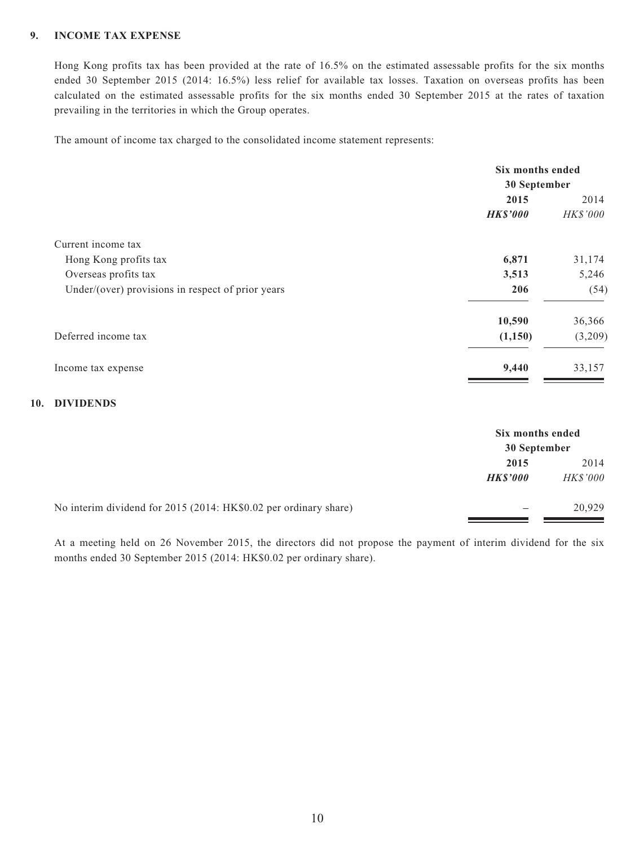#### **9. INCOME TAX EXPENSE**

Hong Kong profits tax has been provided at the rate of 16.5% on the estimated assessable profits for the six months ended 30 September 2015 (2014: 16.5%) less relief for available tax losses. Taxation on overseas profits has been calculated on the estimated assessable profits for the six months ended 30 September 2015 at the rates of taxation prevailing in the territories in which the Group operates.

The amount of income tax charged to the consolidated income statement represents:

|                                                   | Six months ended |                 |
|---------------------------------------------------|------------------|-----------------|
|                                                   | 30 September     |                 |
|                                                   | 2015             |                 |
|                                                   | <b>HK\$'000</b>  | <b>HK\$'000</b> |
| Current income tax                                |                  |                 |
| Hong Kong profits tax                             | 6,871            | 31,174          |
| Overseas profits tax                              | 3,513            | 5,246           |
| Under/(over) provisions in respect of prior years | 206              | (54)            |
|                                                   | 10,590           | 36,366          |
| Deferred income tax                               | (1,150)          | (3,209)         |
| Income tax expense                                | 9,440            | 33,157          |

#### **10. DIVIDENDS**

|                                                                  |                 | Six months ended<br>30 September |  |
|------------------------------------------------------------------|-----------------|----------------------------------|--|
|                                                                  | 2015            | 2014                             |  |
|                                                                  | <b>HK\$'000</b> | <b>HK\$'000</b>                  |  |
| No interim dividend for 2015 (2014: HK\$0.02 per ordinary share) |                 | 20,929                           |  |

At a meeting held on 26 November 2015, the directors did not propose the payment of interim dividend for the six months ended 30 September 2015 (2014: HK\$0.02 per ordinary share).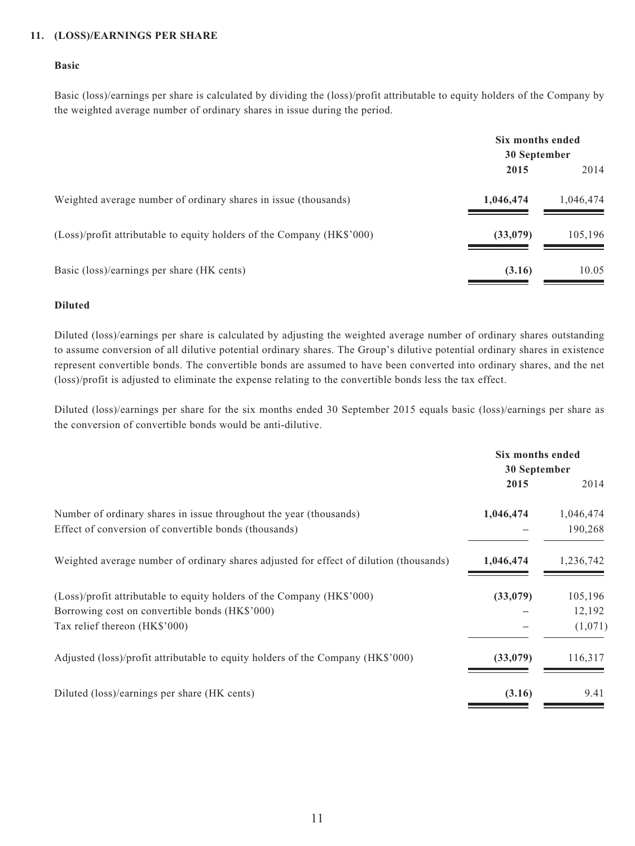#### **11. (LOSS)/EARNINGS PER SHARE**

#### **Basic**

Basic (loss)/earnings per share is calculated by dividing the (loss)/profit attributable to equity holders of the Company by the weighted average number of ordinary shares in issue during the period.

|                                                                        | Six months ended<br>30 September |           |
|------------------------------------------------------------------------|----------------------------------|-----------|
|                                                                        | 2015                             | 2014      |
| Weighted average number of ordinary shares in issue (thousands)        | 1,046,474                        | 1,046,474 |
| (Loss)/profit attributable to equity holders of the Company (HK\$'000) | (33,079)                         | 105,196   |
| Basic (loss)/earnings per share (HK cents)                             | (3.16)                           | 10.05     |

#### **Diluted**

Diluted (loss)/earnings per share is calculated by adjusting the weighted average number of ordinary shares outstanding to assume conversion of all dilutive potential ordinary shares. The Group's dilutive potential ordinary shares in existence represent convertible bonds. The convertible bonds are assumed to have been converted into ordinary shares, and the net (loss)/profit is adjusted to eliminate the expense relating to the convertible bonds less the tax effect.

Diluted (loss)/earnings per share for the six months ended 30 September 2015 equals basic (loss)/earnings per share as the conversion of convertible bonds would be anti-dilutive.

|                                                                                        | Six months ended<br>30 September |           |
|----------------------------------------------------------------------------------------|----------------------------------|-----------|
|                                                                                        | 2015                             | 2014      |
| Number of ordinary shares in issue throughout the year (thousands)                     | 1,046,474                        | 1,046,474 |
| Effect of conversion of convertible bonds (thousands)                                  |                                  | 190,268   |
| Weighted average number of ordinary shares adjusted for effect of dilution (thousands) | 1,046,474                        | 1,236,742 |
| (Loss)/profit attributable to equity holders of the Company (HK\$'000)                 | (33,079)                         | 105,196   |
| Borrowing cost on convertible bonds (HK\$'000)                                         |                                  | 12,192    |
| Tax relief thereon (HK\$'000)                                                          |                                  | (1,071)   |
| Adjusted (loss)/profit attributable to equity holders of the Company (HK\$'000)        | (33,079)                         | 116,317   |
| Diluted (loss)/earnings per share (HK cents)                                           | (3.16)                           | 9.41      |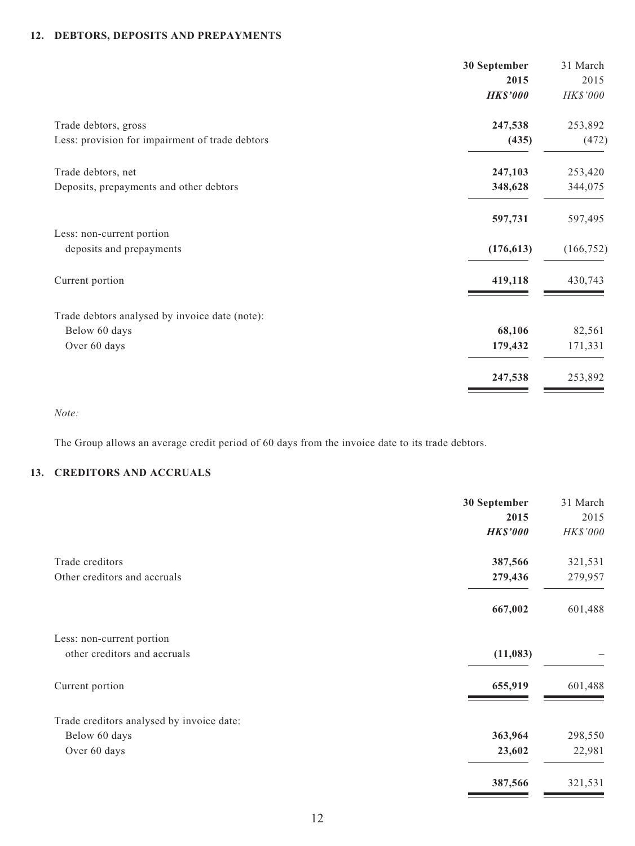#### **12. DEBTORS, DEPOSITS AND PREPAYMENTS**

| 30 September    | 31 March   |
|-----------------|------------|
| 2015            | 2015       |
| <b>HK\$'000</b> | HK\$'000   |
| 247,538         | 253,892    |
| (435)           | (472)      |
| 247,103         | 253,420    |
| 348,628         | 344,075    |
| 597,731         | 597,495    |
|                 |            |
| (176, 613)      | (166, 752) |
| 419,118         | 430,743    |
|                 |            |
| 68,106          | 82,561     |
| 179,432         | 171,331    |
| 247,538         | 253,892    |
|                 |            |

*Note:*

The Group allows an average credit period of 60 days from the invoice date to its trade debtors.

## **13. CREDITORS AND ACCRUALS**

|                                           | 30 September    | 31 March |
|-------------------------------------------|-----------------|----------|
|                                           | 2015            | 2015     |
|                                           | <b>HK\$'000</b> | HK\$'000 |
| Trade creditors                           | 387,566         | 321,531  |
| Other creditors and accruals              | 279,436         | 279,957  |
|                                           | 667,002         | 601,488  |
| Less: non-current portion                 |                 |          |
| other creditors and accruals              | (11,083)        |          |
| Current portion                           | 655,919         | 601,488  |
| Trade creditors analysed by invoice date: |                 |          |
| Below 60 days                             | 363,964         | 298,550  |
| Over 60 days                              | 23,602          | 22,981   |
|                                           | 387,566         | 321,531  |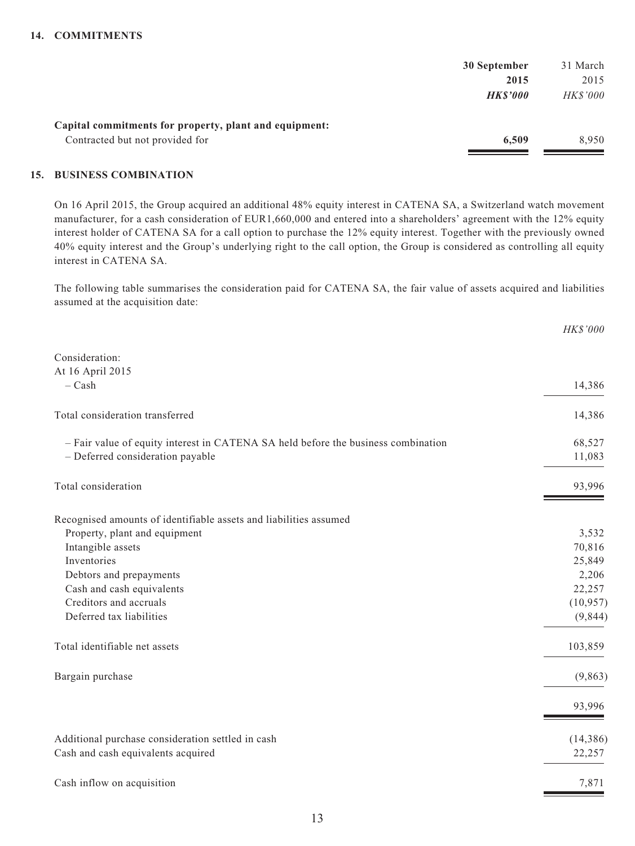|                                                        | 30 September   | 31 March        |
|--------------------------------------------------------|----------------|-----------------|
|                                                        | 2015           | 2015            |
|                                                        | <b>HKS'000</b> | <b>HK\$'000</b> |
| Capital commitments for property, plant and equipment: |                |                 |
| Contracted but not provided for                        | 6.509          | 8.950           |

#### **15. BUSINESS COMBINATION**

On 16 April 2015, the Group acquired an additional 48% equity interest in CATENA SA, a Switzerland watch movement manufacturer, for a cash consideration of EUR1,660,000 and entered into a shareholders' agreement with the 12% equity interest holder of CATENA SA for a call option to purchase the 12% equity interest. Together with the previously owned 40% equity interest and the Group's underlying right to the call option, the Group is considered as controlling all equity interest in CATENA SA.

The following table summarises the consideration paid for CATENA SA, the fair value of assets acquired and liabilities assumed at the acquisition date:

| Consideration:<br>At 16 April 2015<br>$-$ Cash<br>Total consideration transferred<br>- Fair value of equity interest in CATENA SA held before the business combination<br>- Deferred consideration payable<br>Total consideration<br>93,996<br>Recognised amounts of identifiable assets and liabilities assumed<br>Property, plant and equipment<br>Intangible assets<br>70,816<br>Inventories<br>Debtors and prepayments<br>Cash and cash equivalents<br>Creditors and accruals<br>(10, 957)<br>Deferred tax liabilities<br>Total identifiable net assets<br>Bargain purchase<br>93,996<br>Additional purchase consideration settled in cash<br>(14, 386)<br>Cash and cash equivalents acquired<br>Cash inflow on acquisition<br>7,871 | HK\$'000 |
|------------------------------------------------------------------------------------------------------------------------------------------------------------------------------------------------------------------------------------------------------------------------------------------------------------------------------------------------------------------------------------------------------------------------------------------------------------------------------------------------------------------------------------------------------------------------------------------------------------------------------------------------------------------------------------------------------------------------------------------|----------|
|                                                                                                                                                                                                                                                                                                                                                                                                                                                                                                                                                                                                                                                                                                                                          |          |
|                                                                                                                                                                                                                                                                                                                                                                                                                                                                                                                                                                                                                                                                                                                                          |          |
|                                                                                                                                                                                                                                                                                                                                                                                                                                                                                                                                                                                                                                                                                                                                          | 14,386   |
|                                                                                                                                                                                                                                                                                                                                                                                                                                                                                                                                                                                                                                                                                                                                          | 14,386   |
|                                                                                                                                                                                                                                                                                                                                                                                                                                                                                                                                                                                                                                                                                                                                          | 68,527   |
|                                                                                                                                                                                                                                                                                                                                                                                                                                                                                                                                                                                                                                                                                                                                          | 11,083   |
|                                                                                                                                                                                                                                                                                                                                                                                                                                                                                                                                                                                                                                                                                                                                          |          |
|                                                                                                                                                                                                                                                                                                                                                                                                                                                                                                                                                                                                                                                                                                                                          |          |
|                                                                                                                                                                                                                                                                                                                                                                                                                                                                                                                                                                                                                                                                                                                                          | 3,532    |
|                                                                                                                                                                                                                                                                                                                                                                                                                                                                                                                                                                                                                                                                                                                                          |          |
|                                                                                                                                                                                                                                                                                                                                                                                                                                                                                                                                                                                                                                                                                                                                          | 25,849   |
|                                                                                                                                                                                                                                                                                                                                                                                                                                                                                                                                                                                                                                                                                                                                          | 2,206    |
|                                                                                                                                                                                                                                                                                                                                                                                                                                                                                                                                                                                                                                                                                                                                          | 22,257   |
|                                                                                                                                                                                                                                                                                                                                                                                                                                                                                                                                                                                                                                                                                                                                          |          |
|                                                                                                                                                                                                                                                                                                                                                                                                                                                                                                                                                                                                                                                                                                                                          | (9,844)  |
|                                                                                                                                                                                                                                                                                                                                                                                                                                                                                                                                                                                                                                                                                                                                          | 103,859  |
|                                                                                                                                                                                                                                                                                                                                                                                                                                                                                                                                                                                                                                                                                                                                          | (9,863)  |
|                                                                                                                                                                                                                                                                                                                                                                                                                                                                                                                                                                                                                                                                                                                                          |          |
|                                                                                                                                                                                                                                                                                                                                                                                                                                                                                                                                                                                                                                                                                                                                          |          |
|                                                                                                                                                                                                                                                                                                                                                                                                                                                                                                                                                                                                                                                                                                                                          | 22,257   |
|                                                                                                                                                                                                                                                                                                                                                                                                                                                                                                                                                                                                                                                                                                                                          |          |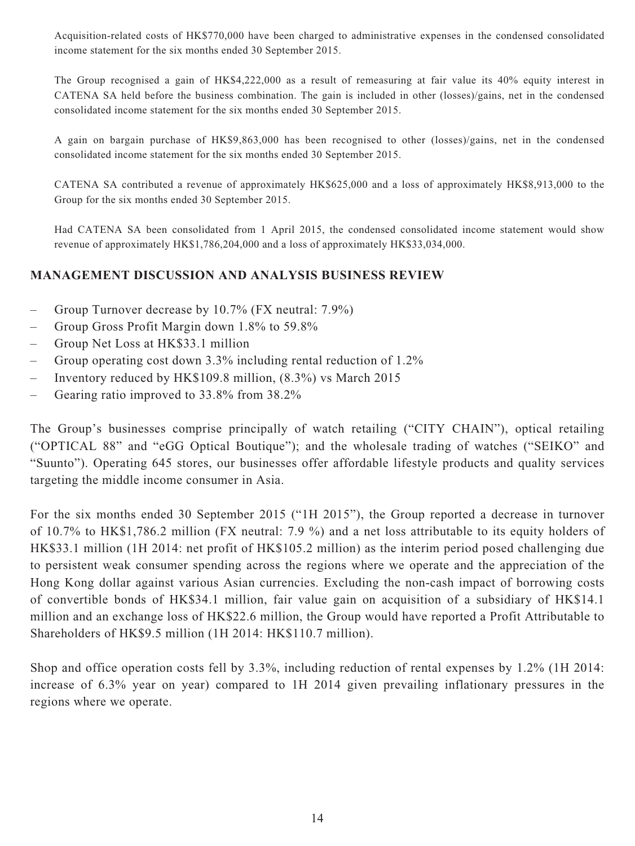Acquisition-related costs of HK\$770,000 have been charged to administrative expenses in the condensed consolidated income statement for the six months ended 30 September 2015.

The Group recognised a gain of HK\$4,222,000 as a result of remeasuring at fair value its 40% equity interest in CATENA SA held before the business combination. The gain is included in other (losses)/gains, net in the condensed consolidated income statement for the six months ended 30 September 2015.

A gain on bargain purchase of HK\$9,863,000 has been recognised to other (losses)/gains, net in the condensed consolidated income statement for the six months ended 30 September 2015.

CATENA SA contributed a revenue of approximately HK\$625,000 and a loss of approximately HK\$8,913,000 to the Group for the six months ended 30 September 2015.

Had CATENA SA been consolidated from 1 April 2015, the condensed consolidated income statement would show revenue of approximately HK\$1,786,204,000 and a loss of approximately HK\$33,034,000.

## **MANAGEMENT DISCUSSION AND ANALYSIS BUSINESS REVIEW**

- Group Turnover decrease by 10.7% (FX neutral: 7.9%)
- Group Gross Profit Margin down 1.8% to 59.8%
- Group Net Loss at HK\$33.1 million
- Group operating cost down 3.3% including rental reduction of 1.2%
- Inventory reduced by HK\$109.8 million, (8.3%) vs March 2015
- Gearing ratio improved to 33.8% from 38.2%

The Group's businesses comprise principally of watch retailing ("CITY CHAIN"), optical retailing ("OPTICAL 88" and "eGG Optical Boutique"); and the wholesale trading of watches ("SEIKO" and "Suunto"). Operating 645 stores, our businesses offer affordable lifestyle products and quality services targeting the middle income consumer in Asia.

For the six months ended 30 September 2015 ("1H 2015"), the Group reported a decrease in turnover of 10.7% to HK\$1,786.2 million (FX neutral: 7.9 %) and a net loss attributable to its equity holders of HK\$33.1 million (1H 2014: net profit of HK\$105.2 million) as the interim period posed challenging due to persistent weak consumer spending across the regions where we operate and the appreciation of the Hong Kong dollar against various Asian currencies. Excluding the non-cash impact of borrowing costs of convertible bonds of HK\$34.1 million, fair value gain on acquisition of a subsidiary of HK\$14.1 million and an exchange loss of HK\$22.6 million, the Group would have reported a Profit Attributable to Shareholders of HK\$9.5 million (1H 2014: HK\$110.7 million).

Shop and office operation costs fell by 3.3%, including reduction of rental expenses by 1.2% (1H 2014: increase of 6.3% year on year) compared to 1H 2014 given prevailing inflationary pressures in the regions where we operate.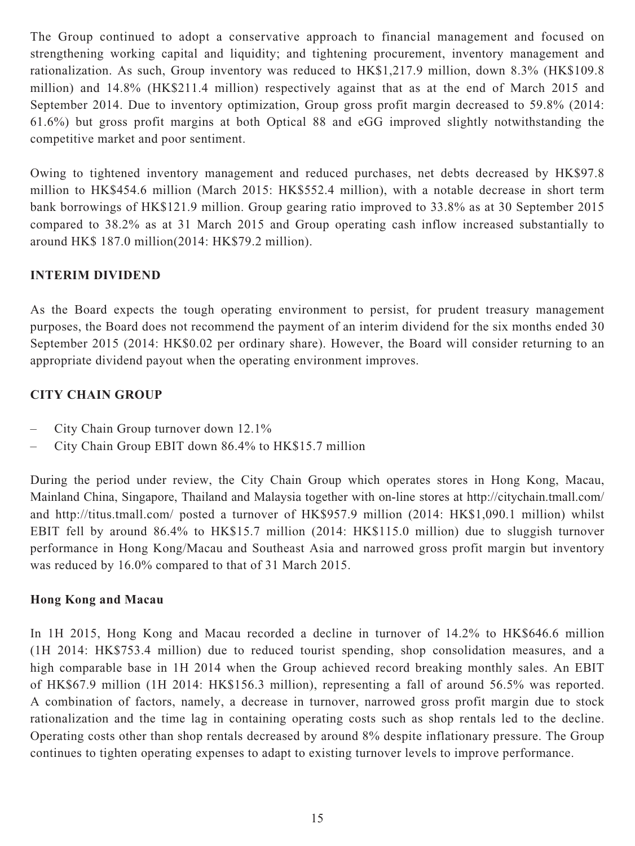The Group continued to adopt a conservative approach to financial management and focused on strengthening working capital and liquidity; and tightening procurement, inventory management and rationalization. As such, Group inventory was reduced to HK\$1,217.9 million, down 8.3% (HK\$109.8 million) and 14.8% (HK\$211.4 million) respectively against that as at the end of March 2015 and September 2014. Due to inventory optimization, Group gross profit margin decreased to 59.8% (2014: 61.6%) but gross profit margins at both Optical 88 and eGG improved slightly notwithstanding the competitive market and poor sentiment.

Owing to tightened inventory management and reduced purchases, net debts decreased by HK\$97.8 million to HK\$454.6 million (March 2015: HK\$552.4 million), with a notable decrease in short term bank borrowings of HK\$121.9 million. Group gearing ratio improved to 33.8% as at 30 September 2015 compared to 38.2% as at 31 March 2015 and Group operating cash inflow increased substantially to around HK\$ 187.0 million(2014: HK\$79.2 million).

## **INTERIM DIVIDEND**

As the Board expects the tough operating environment to persist, for prudent treasury management purposes, the Board does not recommend the payment of an interim dividend for the six months ended 30 September 2015 (2014: HK\$0.02 per ordinary share). However, the Board will consider returning to an appropriate dividend payout when the operating environment improves.

# **CITY CHAIN GROUP**

- City Chain Group turnover down 12.1%
- City Chain Group EBIT down 86.4% to HK\$15.7 million

During the period under review, the City Chain Group which operates stores in Hong Kong, Macau, Mainland China, Singapore, Thailand and Malaysia together with on-line stores at<http://citychain.tmall.com/> and <http://titus.tmall.com/>posted a turnover of HK\$957.9 million (2014: HK\$1,090.1 million) whilst EBIT fell by around 86.4% to HK\$15.7 million (2014: HK\$115.0 million) due to sluggish turnover performance in Hong Kong/Macau and Southeast Asia and narrowed gross profit margin but inventory was reduced by 16.0% compared to that of 31 March 2015.

## **Hong Kong and Macau**

In 1H 2015, Hong Kong and Macau recorded a decline in turnover of 14.2% to HK\$646.6 million (1H 2014: HK\$753.4 million) due to reduced tourist spending, shop consolidation measures, and a high comparable base in 1H 2014 when the Group achieved record breaking monthly sales. An EBIT of HK\$67.9 million (1H 2014: HK\$156.3 million), representing a fall of around 56.5% was reported. A combination of factors, namely, a decrease in turnover, narrowed gross profit margin due to stock rationalization and the time lag in containing operating costs such as shop rentals led to the decline. Operating costs other than shop rentals decreased by around 8% despite inflationary pressure. The Group continues to tighten operating expenses to adapt to existing turnover levels to improve performance.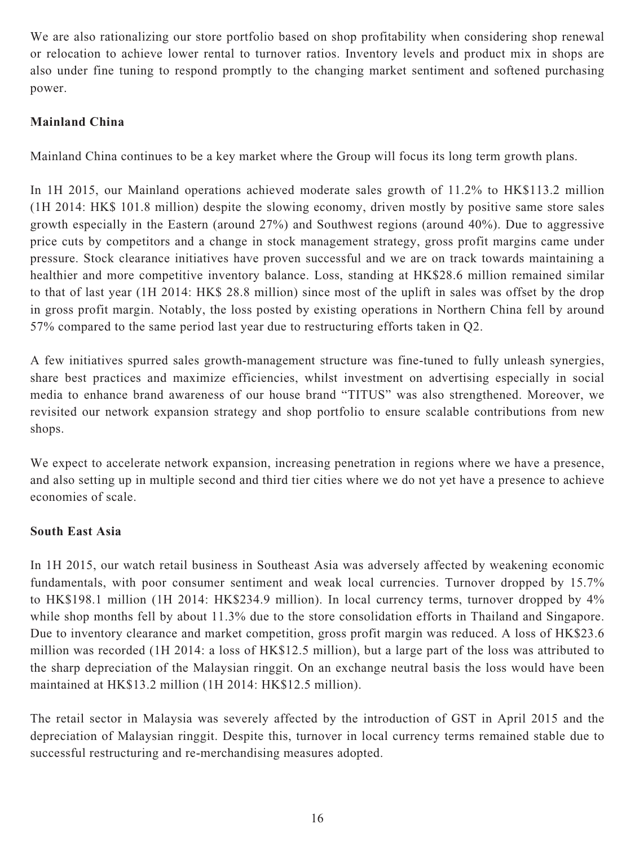We are also rationalizing our store portfolio based on shop profitability when considering shop renewal or relocation to achieve lower rental to turnover ratios. Inventory levels and product mix in shops are also under fine tuning to respond promptly to the changing market sentiment and softened purchasing power.

# **Mainland China**

Mainland China continues to be a key market where the Group will focus its long term growth plans.

In 1H 2015, our Mainland operations achieved moderate sales growth of 11.2% to HK\$113.2 million (1H 2014: HK\$ 101.8 million) despite the slowing economy, driven mostly by positive same store sales growth especially in the Eastern (around 27%) and Southwest regions (around 40%). Due to aggressive price cuts by competitors and a change in stock management strategy, gross profit margins came under pressure. Stock clearance initiatives have proven successful and we are on track towards maintaining a healthier and more competitive inventory balance. Loss, standing at HK\$28.6 million remained similar to that of last year (1H 2014: HK\$ 28.8 million) since most of the uplift in sales was offset by the drop in gross profit margin. Notably, the loss posted by existing operations in Northern China fell by around 57% compared to the same period last year due to restructuring efforts taken in Q2.

A few initiatives spurred sales growth-management structure was fine-tuned to fully unleash synergies, share best practices and maximize efficiencies, whilst investment on advertising especially in social media to enhance brand awareness of our house brand "TITUS" was also strengthened. Moreover, we revisited our network expansion strategy and shop portfolio to ensure scalable contributions from new shops.

We expect to accelerate network expansion, increasing penetration in regions where we have a presence, and also setting up in multiple second and third tier cities where we do not yet have a presence to achieve economies of scale.

# **South East Asia**

In 1H 2015, our watch retail business in Southeast Asia was adversely affected by weakening economic fundamentals, with poor consumer sentiment and weak local currencies. Turnover dropped by 15.7% to HK\$198.1 million (1H 2014: HK\$234.9 million). In local currency terms, turnover dropped by 4% while shop months fell by about 11.3% due to the store consolidation efforts in Thailand and Singapore. Due to inventory clearance and market competition, gross profit margin was reduced. A loss of HK\$23.6 million was recorded (1H 2014: a loss of HK\$12.5 million), but a large part of the loss was attributed to the sharp depreciation of the Malaysian ringgit. On an exchange neutral basis the loss would have been maintained at HK\$13.2 million (1H 2014: HK\$12.5 million).

The retail sector in Malaysia was severely affected by the introduction of GST in April 2015 and the depreciation of Malaysian ringgit. Despite this, turnover in local currency terms remained stable due to successful restructuring and re-merchandising measures adopted.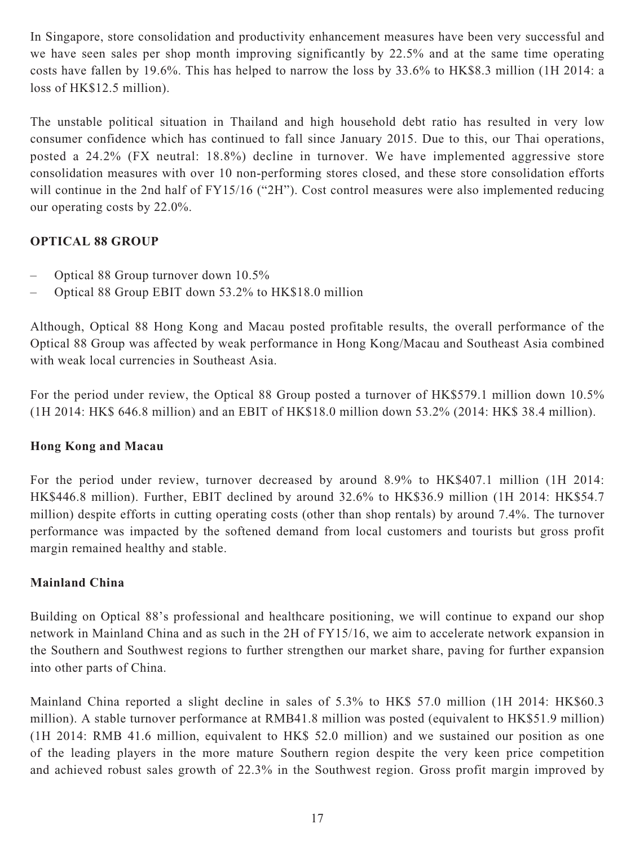In Singapore, store consolidation and productivity enhancement measures have been very successful and we have seen sales per shop month improving significantly by 22.5% and at the same time operating costs have fallen by 19.6%. This has helped to narrow the loss by 33.6% to HK\$8.3 million (1H 2014: a loss of HK\$12.5 million).

The unstable political situation in Thailand and high household debt ratio has resulted in very low consumer confidence which has continued to fall since January 2015. Due to this, our Thai operations, posted a 24.2% (FX neutral: 18.8%) decline in turnover. We have implemented aggressive store consolidation measures with over 10 non-performing stores closed, and these store consolidation efforts will continue in the 2nd half of FY15/16 ("2H"). Cost control measures were also implemented reducing our operating costs by 22.0%.

# **OPTICAL 88 GROUP**

- Optical 88 Group turnover down 10.5%
- Optical 88 Group EBIT down 53.2% to HK\$18.0 million

Although, Optical 88 Hong Kong and Macau posted profitable results, the overall performance of the Optical 88 Group was affected by weak performance in Hong Kong/Macau and Southeast Asia combined with weak local currencies in Southeast Asia.

For the period under review, the Optical 88 Group posted a turnover of HK\$579.1 million down 10.5% (1H 2014: HK\$ 646.8 million) and an EBIT of HK\$18.0 million down 53.2% (2014: HK\$ 38.4 million).

## **Hong Kong and Macau**

For the period under review, turnover decreased by around 8.9% to HK\$407.1 million (1H 2014: HK\$446.8 million). Further, EBIT declined by around 32.6% to HK\$36.9 million (1H 2014: HK\$54.7 million) despite efforts in cutting operating costs (other than shop rentals) by around 7.4%. The turnover performance was impacted by the softened demand from local customers and tourists but gross profit margin remained healthy and stable.

# **Mainland China**

Building on Optical 88's professional and healthcare positioning, we will continue to expand our shop network in Mainland China and as such in the 2H of FY15/16, we aim to accelerate network expansion in the Southern and Southwest regions to further strengthen our market share, paving for further expansion into other parts of China.

Mainland China reported a slight decline in sales of 5.3% to HK\$ 57.0 million (1H 2014: HK\$60.3 million). A stable turnover performance at RMB41.8 million was posted (equivalent to HK\$51.9 million) (1H 2014: RMB 41.6 million, equivalent to HK\$ 52.0 million) and we sustained our position as one of the leading players in the more mature Southern region despite the very keen price competition and achieved robust sales growth of 22.3% in the Southwest region. Gross profit margin improved by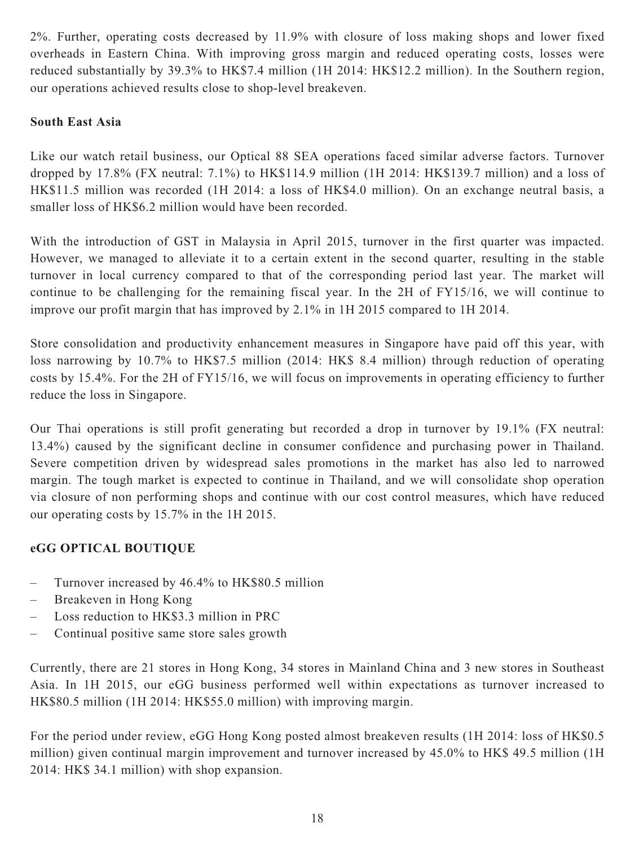2%. Further, operating costs decreased by 11.9% with closure of loss making shops and lower fixed overheads in Eastern China. With improving gross margin and reduced operating costs, losses were reduced substantially by 39.3% to HK\$7.4 million (1H 2014: HK\$12.2 million). In the Southern region, our operations achieved results close to shop-level breakeven.

# **South East Asia**

Like our watch retail business, our Optical 88 SEA operations faced similar adverse factors. Turnover dropped by 17.8% (FX neutral: 7.1%) to HK\$114.9 million (1H 2014: HK\$139.7 million) and a loss of HK\$11.5 million was recorded (1H 2014: a loss of HK\$4.0 million). On an exchange neutral basis, a smaller loss of HK\$6.2 million would have been recorded.

With the introduction of GST in Malaysia in April 2015, turnover in the first quarter was impacted. However, we managed to alleviate it to a certain extent in the second quarter, resulting in the stable turnover in local currency compared to that of the corresponding period last year. The market will continue to be challenging for the remaining fiscal year. In the 2H of FY15/16, we will continue to improve our profit margin that has improved by 2.1% in 1H 2015 compared to 1H 2014.

Store consolidation and productivity enhancement measures in Singapore have paid off this year, with loss narrowing by 10.7% to HK\$7.5 million (2014: HK\$ 8.4 million) through reduction of operating costs by 15.4%. For the 2H of FY15/16, we will focus on improvements in operating efficiency to further reduce the loss in Singapore.

Our Thai operations is still profit generating but recorded a drop in turnover by 19.1% (FX neutral: 13.4%) caused by the significant decline in consumer confidence and purchasing power in Thailand. Severe competition driven by widespread sales promotions in the market has also led to narrowed margin. The tough market is expected to continue in Thailand, and we will consolidate shop operation via closure of non performing shops and continue with our cost control measures, which have reduced our operating costs by 15.7% in the 1H 2015.

# **eGG OPTICAL BOUTIQUE**

- Turnover increased by 46.4% to HK\$80.5 million
- Breakeven in Hong Kong
- Loss reduction to HK\$3.3 million in PRC
- Continual positive same store sales growth

Currently, there are 21 stores in Hong Kong, 34 stores in Mainland China and 3 new stores in Southeast Asia. In 1H 2015, our eGG business performed well within expectations as turnover increased to HK\$80.5 million (1H 2014: HK\$55.0 million) with improving margin.

For the period under review, eGG Hong Kong posted almost breakeven results (1H 2014: loss of HK\$0.5 million) given continual margin improvement and turnover increased by 45.0% to HK\$ 49.5 million (1H 2014: HK\$ 34.1 million) with shop expansion.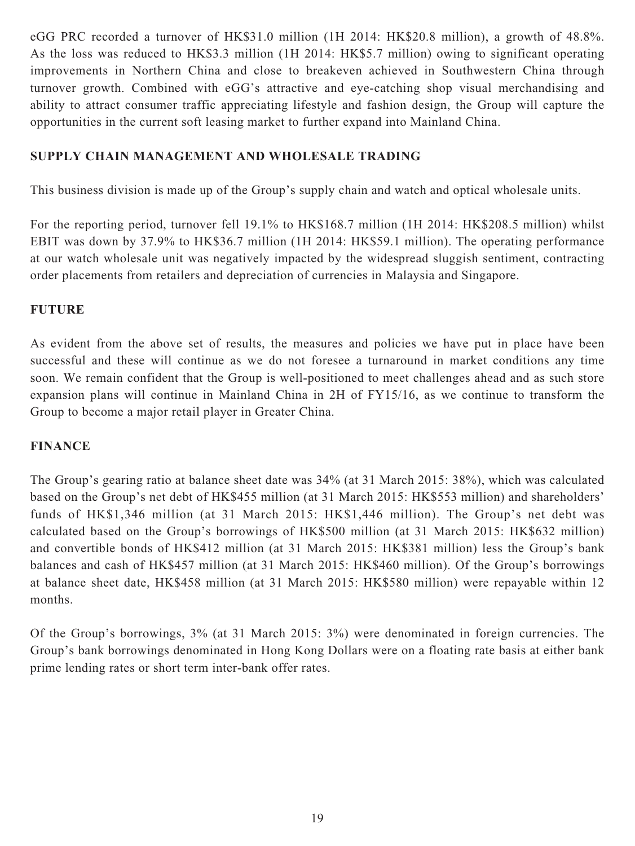eGG PRC recorded a turnover of HK\$31.0 million (1H 2014: HK\$20.8 million), a growth of 48.8%. As the loss was reduced to HK\$3.3 million (1H 2014: HK\$5.7 million) owing to significant operating improvements in Northern China and close to breakeven achieved in Southwestern China through turnover growth. Combined with eGG's attractive and eye-catching shop visual merchandising and ability to attract consumer traffic appreciating lifestyle and fashion design, the Group will capture the opportunities in the current soft leasing market to further expand into Mainland China.

## **SUPPLY CHAIN MANAGEMENT AND WHOLESALE TRADING**

This business division is made up of the Group's supply chain and watch and optical wholesale units.

For the reporting period, turnover fell 19.1% to HK\$168.7 million (1H 2014: HK\$208.5 million) whilst EBIT was down by 37.9% to HK\$36.7 million (1H 2014: HK\$59.1 million). The operating performance at our watch wholesale unit was negatively impacted by the widespread sluggish sentiment, contracting order placements from retailers and depreciation of currencies in Malaysia and Singapore.

## **FUTURE**

As evident from the above set of results, the measures and policies we have put in place have been successful and these will continue as we do not foresee a turnaround in market conditions any time soon. We remain confident that the Group is well-positioned to meet challenges ahead and as such store expansion plans will continue in Mainland China in 2H of FY15/16, as we continue to transform the Group to become a major retail player in Greater China.

## **FINANCE**

The Group's gearing ratio at balance sheet date was 34% (at 31 March 2015: 38%), which was calculated based on the Group's net debt of HK\$455 million (at 31 March 2015: HK\$553 million) and shareholders' funds of HK\$1,346 million (at 31 March 2015: HK\$1,446 million). The Group's net debt was calculated based on the Group's borrowings of HK\$500 million (at 31 March 2015: HK\$632 million) and convertible bonds of HK\$412 million (at 31 March 2015: HK\$381 million) less the Group's bank balances and cash of HK\$457 million (at 31 March 2015: HK\$460 million). Of the Group's borrowings at balance sheet date, HK\$458 million (at 31 March 2015: HK\$580 million) were repayable within 12 months.

Of the Group's borrowings, 3% (at 31 March 2015: 3%) were denominated in foreign currencies. The Group's bank borrowings denominated in Hong Kong Dollars were on a floating rate basis at either bank prime lending rates or short term inter-bank offer rates.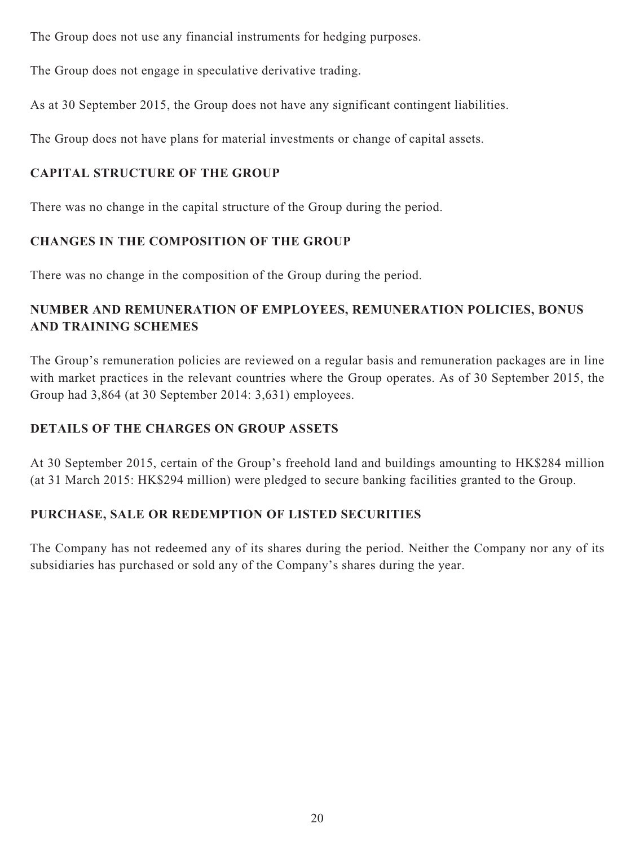The Group does not use any financial instruments for hedging purposes.

The Group does not engage in speculative derivative trading.

As at 30 September 2015, the Group does not have any significant contingent liabilities.

The Group does not have plans for material investments or change of capital assets.

# **CAPITAL STRUCTURE OF THE GROUP**

There was no change in the capital structure of the Group during the period.

# **CHANGES IN THE COMPOSITION OF THE GROUP**

There was no change in the composition of the Group during the period.

# **NUMBER AND REMUNERATION OF EMPLOYEES, REMUNERATION POLICIES, BONUS AND TRAINING SCHEMES**

The Group's remuneration policies are reviewed on a regular basis and remuneration packages are in line with market practices in the relevant countries where the Group operates. As of 30 September 2015, the Group had 3,864 (at 30 September 2014: 3,631) employees.

# **DETAILS OF THE CHARGES ON GROUP ASSETS**

At 30 September 2015, certain of the Group's freehold land and buildings amounting to HK\$284 million (at 31 March 2015: HK\$294 million) were pledged to secure banking facilities granted to the Group.

# **PURCHASE, SALE OR REDEMPTION OF LISTED SECURITIES**

The Company has not redeemed any of its shares during the period. Neither the Company nor any of its subsidiaries has purchased or sold any of the Company's shares during the year.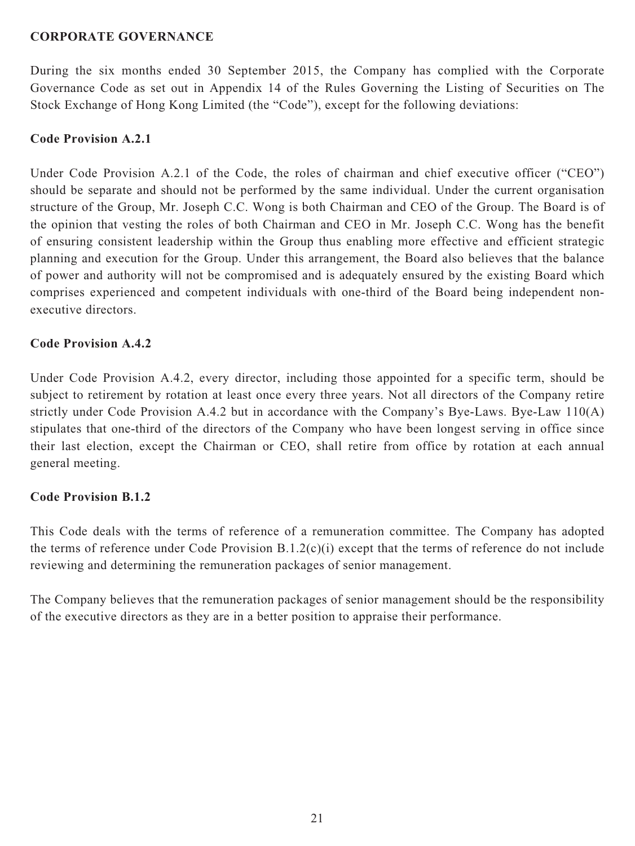## **CORPORATE GOVERNANCE**

During the six months ended 30 September 2015, the Company has complied with the Corporate Governance Code as set out in Appendix 14 of the Rules Governing the Listing of Securities on The Stock Exchange of Hong Kong Limited (the "Code"), except for the following deviations:

## **Code Provision A.2.1**

Under Code Provision A.2.1 of the Code, the roles of chairman and chief executive officer ("CEO") should be separate and should not be performed by the same individual. Under the current organisation structure of the Group, Mr. Joseph C.C. Wong is both Chairman and CEO of the Group. The Board is of the opinion that vesting the roles of both Chairman and CEO in Mr. Joseph C.C. Wong has the benefit of ensuring consistent leadership within the Group thus enabling more effective and efficient strategic planning and execution for the Group. Under this arrangement, the Board also believes that the balance of power and authority will not be compromised and is adequately ensured by the existing Board which comprises experienced and competent individuals with one-third of the Board being independent nonexecutive directors.

## **Code Provision A.4.2**

Under Code Provision A.4.2, every director, including those appointed for a specific term, should be subject to retirement by rotation at least once every three years. Not all directors of the Company retire strictly under Code Provision A.4.2 but in accordance with the Company's Bye-Laws. Bye-Law 110(A) stipulates that one-third of the directors of the Company who have been longest serving in office since their last election, except the Chairman or CEO, shall retire from office by rotation at each annual general meeting.

## **Code Provision B.1.2**

This Code deals with the terms of reference of a remuneration committee. The Company has adopted the terms of reference under Code Provision B.1.2(c)(i) except that the terms of reference do not include reviewing and determining the remuneration packages of senior management.

The Company believes that the remuneration packages of senior management should be the responsibility of the executive directors as they are in a better position to appraise their performance.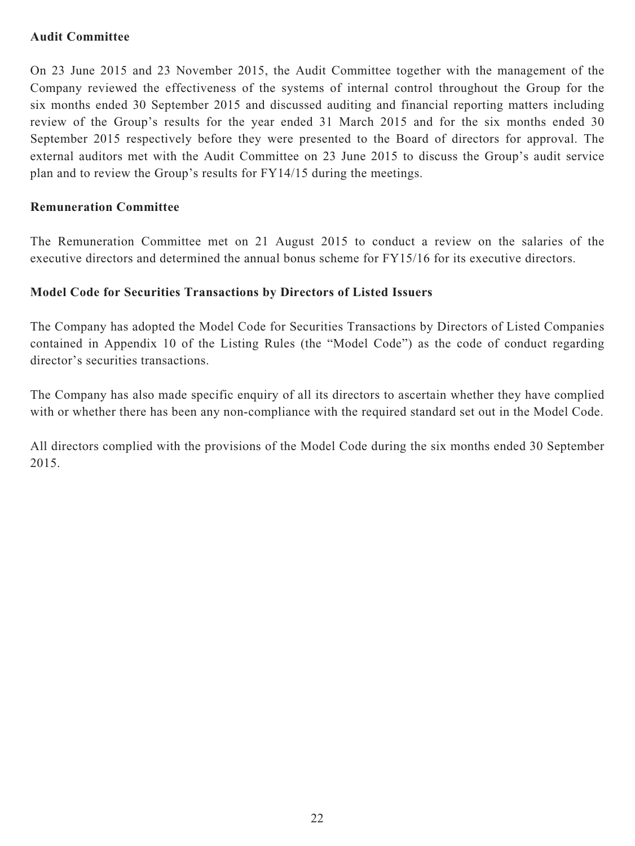## **Audit Committee**

On 23 June 2015 and 23 November 2015, the Audit Committee together with the management of the Company reviewed the effectiveness of the systems of internal control throughout the Group for the six months ended 30 September 2015 and discussed auditing and financial reporting matters including review of the Group's results for the year ended 31 March 2015 and for the six months ended 30 September 2015 respectively before they were presented to the Board of directors for approval. The external auditors met with the Audit Committee on 23 June 2015 to discuss the Group's audit service plan and to review the Group's results for FY14/15 during the meetings.

## **Remuneration Committee**

The Remuneration Committee met on 21 August 2015 to conduct a review on the salaries of the executive directors and determined the annual bonus scheme for FY15/16 for its executive directors.

## **Model Code for Securities Transactions by Directors of Listed Issuers**

The Company has adopted the Model Code for Securities Transactions by Directors of Listed Companies contained in Appendix 10 of the Listing Rules (the "Model Code") as the code of conduct regarding director's securities transactions.

The Company has also made specific enquiry of all its directors to ascertain whether they have complied with or whether there has been any non-compliance with the required standard set out in the Model Code.

All directors complied with the provisions of the Model Code during the six months ended 30 September 2015.